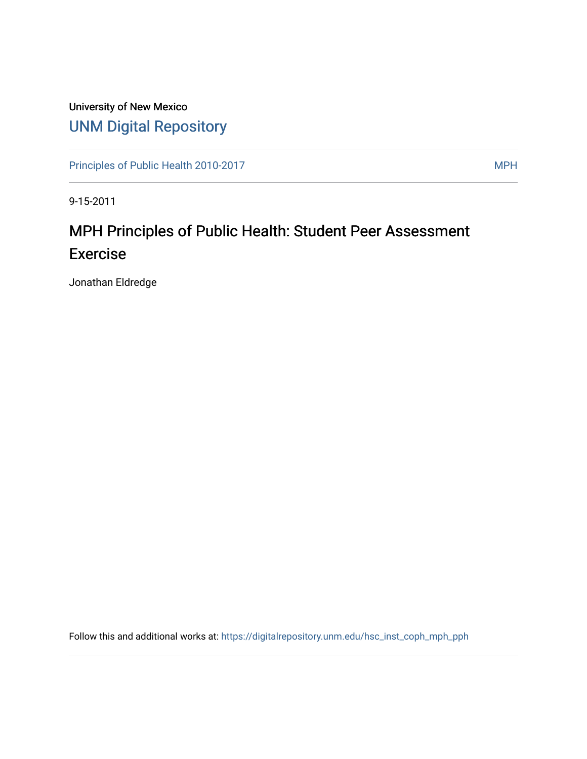## University of New Mexico [UNM Digital Repository](https://digitalrepository.unm.edu/)

[Principles of Public Health 2010-2017](https://digitalrepository.unm.edu/hsc_inst_coph_mph_pph) MPH

9-15-2011

# MPH Principles of Public Health: Student Peer Assessment Exercise

Jonathan Eldredge

Follow this and additional works at: [https://digitalrepository.unm.edu/hsc\\_inst\\_coph\\_mph\\_pph](https://digitalrepository.unm.edu/hsc_inst_coph_mph_pph?utm_source=digitalrepository.unm.edu%2Fhsc_inst_coph_mph_pph%2F8&utm_medium=PDF&utm_campaign=PDFCoverPages)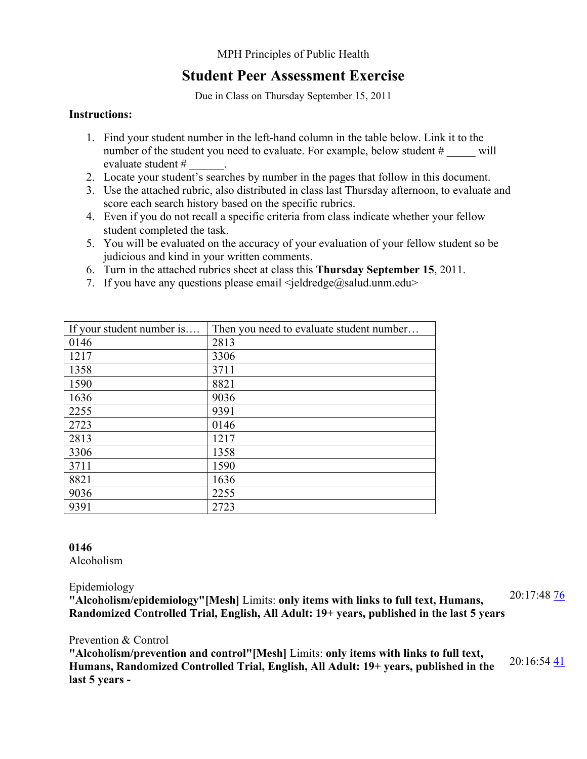#### MPH Principles of Public Health

### **Student Peer Assessment Exercise**

Due in Class on Thursday September 15, 2011

#### **Instructions:**

- 1. Find your student number in the left-hand column in the table below. Link it to the number of the student you need to evaluate. For example, below student # will evaluate student # \_\_\_\_\_\_.
- 2. Locate your student's searches by number in the pages that follow in this document.
- 3. Use the attached rubric, also distributed in class last Thursday afternoon, to evaluate and score each search history based on the specific rubrics.
- 4. Even if you do not recall a specific criteria from class indicate whether your fellow student completed the task.
- 5. You will be evaluated on the accuracy of your evaluation of your fellow student so be judicious and kind in your written comments.
- 6. Turn in the attached rubrics sheet at class this **Thursday September 15**, 2011.
- 7. If you have any questions please email  $\leq$  eldredge@salud.unm.edu>

| If your student number is | Then you need to evaluate student number |
|---------------------------|------------------------------------------|
| 0146                      | 2813                                     |
| 1217                      | 3306                                     |
| 1358                      | 3711                                     |
| 1590                      | 8821                                     |
| 1636                      | 9036                                     |
| 2255                      | 9391                                     |
| 2723                      | 0146                                     |
| 2813                      | 1217                                     |
| 3306                      | 1358                                     |
| 3711                      | 1590                                     |
| 8821                      | 1636                                     |
| 9036                      | 2255                                     |
| 9391                      | 2723                                     |

#### **0146** Alcoholism

#### Epidemiology

**"Alcoholism/epidemiology"[Mesh]** Limits: **only items with links to full text, Humans, Randomized Controlled Trial, English, All Adult: 19+ years, published in the last 5 years** 20:17:48 [76](http://www.ncbi.nlm.nih.gov/pubmed/?cmd=HistorySearch&querykey=32&)

#### Prevention & Control

**"Alcoholism/prevention and control"[Mesh]** Limits: **only items with links to full text, Humans, Randomized Controlled Trial, English, All Adult: 19+ years, published in the last 5 years -** 20:16:54 [41](http://www.ncbi.nlm.nih.gov/pubmed/?cmd=HistorySearch&querykey=31&)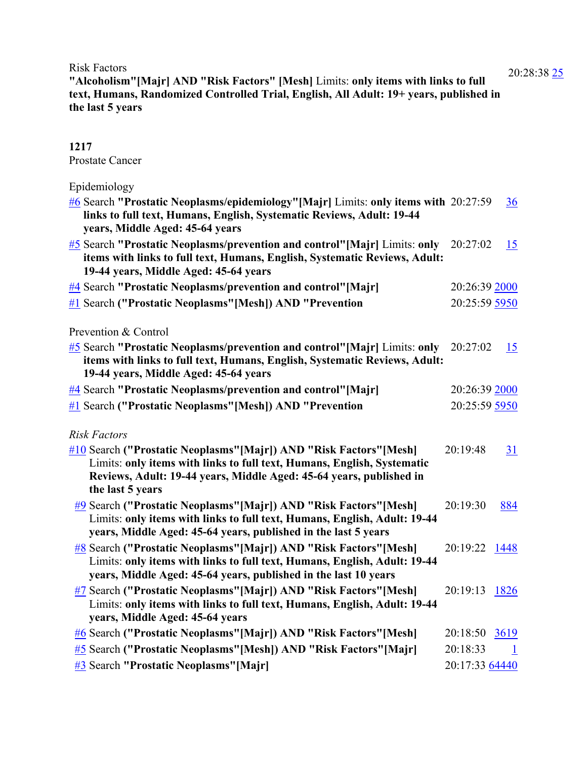Risk Factors

**"Alcoholism"[Majr] AND "Risk Factors" [Mesh]** Limits: **only items with links to full text, Humans, Randomized Controlled Trial, English, All Adult: 19+ years, published in the last 5 years**

#### **1217** Prostate Cancer

Epidemiology

| $\frac{\#6}{4}$ Search "Prostatic Neoplasms/epidemiology" [Majr] Limits: only items with 20:27:59<br>links to full text, Humans, English, Systematic Reviews, Adult: 19-44<br>years, Middle Aged: 45-64 years                                                    |                | 36           |
|------------------------------------------------------------------------------------------------------------------------------------------------------------------------------------------------------------------------------------------------------------------|----------------|--------------|
| $\frac{\#5}{\#5}$ Search "Prostatic Neoplasms/prevention and control" [Majr] Limits: only<br>items with links to full text, Humans, English, Systematic Reviews, Adult:<br>19-44 years, Middle Aged: 45-64 years                                                 | 20:27:02       | 15           |
| #4 Search "Prostatic Neoplasms/prevention and control"[Majr]                                                                                                                                                                                                     | 20:26:39 2000  |              |
| #1 Search ("Prostatic Neoplasms" [Mesh]) AND "Prevention                                                                                                                                                                                                         | 20:25:59 5950  |              |
| Prevention & Control                                                                                                                                                                                                                                             |                |              |
| $\frac{\#5}{\#5}$ Search "Prostatic Neoplasms/prevention and control" [Majr] Limits: only<br>items with links to full text, Humans, English, Systematic Reviews, Adult:<br>19-44 years, Middle Aged: 45-64 years                                                 | 20:27:02       | 15           |
| <b>#4 Search "Prostatic Neoplasms/prevention and control"</b> [Majr]                                                                                                                                                                                             | 20:26:39 2000  |              |
| #1 Search ("Prostatic Neoplasms" [Mesh]) AND "Prevention                                                                                                                                                                                                         | 20:25:59 5950  |              |
| <b>Risk Factors</b><br>#10 Search ("Prostatic Neoplasms" [Majr]) AND "Risk Factors" [Mesh]<br>Limits: only items with links to full text, Humans, English, Systematic<br>Reviews, Adult: 19-44 years, Middle Aged: 45-64 years, published in<br>the last 5 years | 20:19:48       | <b>31</b>    |
| #9 Search ("Prostatic Neoplasms" [Majr]) AND "Risk Factors" [Mesh]<br>Limits: only items with links to full text, Humans, English, Adult: 19-44<br>years, Middle Aged: 45-64 years, published in the last 5 years                                                | 20:19:30       | 884          |
| #8 Search ("Prostatic Neoplasms" [Majr]) AND "Risk Factors" [Mesh]<br>Limits: only items with links to full text, Humans, English, Adult: 19-44<br>years, Middle Aged: 45-64 years, published in the last 10 years                                               | 20:19:22       | 1448         |
| #7 Search ("Prostatic Neoplasms" [Majr]) AND "Risk Factors" [Mesh]<br>Limits: only items with links to full text, Humans, English, Adult: 19-44<br>years, Middle Aged: 45-64 years                                                                               | 20:19:13       | 1826         |
| #6 Search ("Prostatic Neoplasms" [Majr]) AND "Risk Factors" [Mesh]                                                                                                                                                                                               | 20:18:50       | 3619         |
| #5 Search ("Prostatic Neoplasms" [Mesh]) AND "Risk Factors" [Majr]                                                                                                                                                                                               | 20:18:33       | $\mathbf{1}$ |
| #3 Search "Prostatic Neoplasms"[Majr]                                                                                                                                                                                                                            | 20:17:33 64440 |              |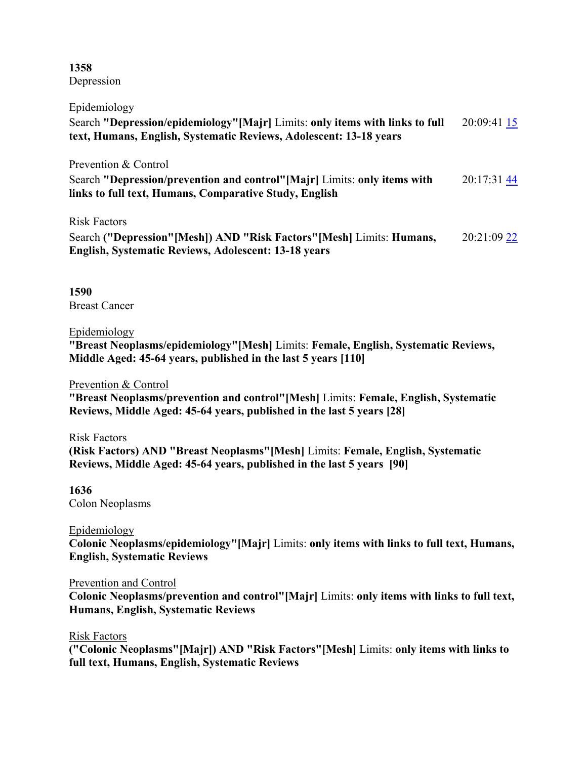**1358** Depression

| Epidemiology                                                                                                                                               |             |
|------------------------------------------------------------------------------------------------------------------------------------------------------------|-------------|
| Search "Depression/epidemiology" [Majr] Limits: only items with links to full<br>text, Humans, English, Systematic Reviews, Adolescent: 13-18 years        | 20:09:41 15 |
| Prevention & Control<br>Search "Depression/prevention and control"[Majr] Limits: only items with<br>links to full text, Humans, Comparative Study, English | 20:17:31 44 |
| <b>Risk Factors</b><br>Search ("Depression" [Mesh]) AND "Risk Factors" [Mesh] Limits: Humans,<br>English, Systematic Reviews, Adolescent: 13-18 years      | 20:21:09 22 |

**1590** Breast Cancer

#### Epidemiology

**"Breast Neoplasms/epidemiology"[Mesh]** Limits: **Female, English, Systematic Reviews, Middle Aged: 45-64 years, published in the last 5 years [110]**

#### Prevention & Control

**"Breast Neoplasms/prevention and control"[Mesh]** Limits: **Female, English, Systematic Reviews, Middle Aged: 45-64 years, published in the last 5 years [28]**

#### Risk Factors

**(Risk Factors) AND "Breast Neoplasms"[Mesh]** Limits: **Female, English, Systematic Reviews, Middle Aged: 45-64 years, published in the last 5 years [90]**

#### **1636**

Colon Neoplasms

#### Epidemiology

**Colonic Neoplasms/epidemiology"[Majr]** Limits: **only items with links to full text, Humans, English, Systematic Reviews**

#### Prevention and Control

**Colonic Neoplasms/prevention and control"[Majr]** Limits: **only items with links to full text, Humans, English, Systematic Reviews**

#### Risk Factors

**("Colonic Neoplasms"[Majr]) AND "Risk Factors"[Mesh]** Limits: **only items with links to full text, Humans, English, Systematic Reviews**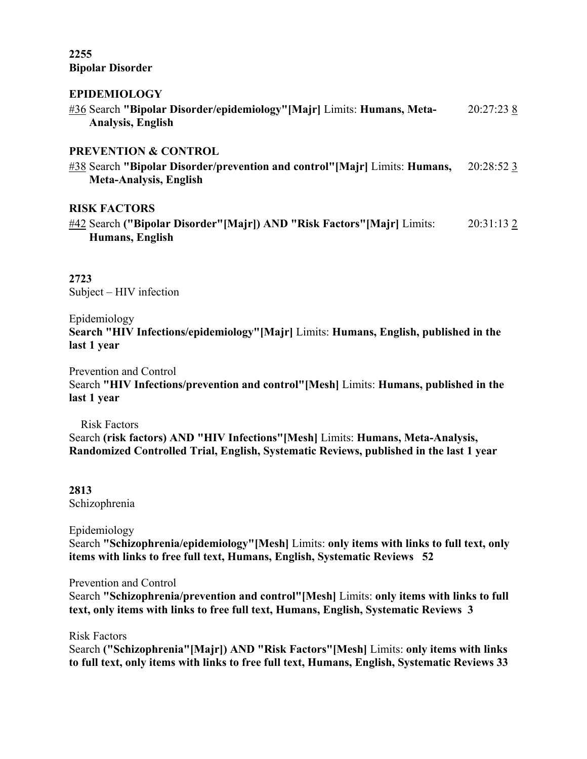#### **2255 Bipolar Disorder**

#### **EPIDEMIOLOGY**

| #36 Search "Bipolar Disorder/epidemiology" [Majr] Limits: Humans, Meta-<br>Analysis, English                                                    | 20:27:23 8 |
|-------------------------------------------------------------------------------------------------------------------------------------------------|------------|
| <b>PREVENTION &amp; CONTROL</b><br>#38 Search "Bipolar Disorder/prevention and control" [Majr] Limits: Humans,<br><b>Meta-Analysis, English</b> | 20:28:52 3 |
| <b>RISK FACTORS</b><br>#42 Search ("Bipolar Disorder" [Majr]) AND "Risk Factors" [Majr] Limits:<br>Humans, English                              | 20:31:132  |
| 2723<br>Subject $-$ HIV infection                                                                                                               |            |

Epidemiology

**Search "HIV Infections/epidemiology"[Majr]** Limits: **Humans, English, published in the last 1 year**

Prevention and Control Search **"HIV Infections/prevention and control"[Mesh]** Limits: **Humans, published in the last 1 year**

Risk Factors Search **(risk factors) AND "HIV Infections"[Mesh]** Limits: **Humans, Meta-Analysis, Randomized Controlled Trial, English, Systematic Reviews, published in the last 1 year**

**2813** Schizophrenia

Epidemiology Search **"Schizophrenia/epidemiology"[Mesh]** Limits: **only items with links to full text, only items with links to free full text, Humans, English, Systematic Reviews 52**

Prevention and Control Search **"Schizophrenia/prevention and control"[Mesh]** Limits: **only items with links to full text, only items with links to free full text, Humans, English, Systematic Reviews 3**

Risk Factors Search **("Schizophrenia"[Majr]) AND "Risk Factors"[Mesh]** Limits: **only items with links to full text, only items with links to free full text, Humans, English, Systematic Reviews 33**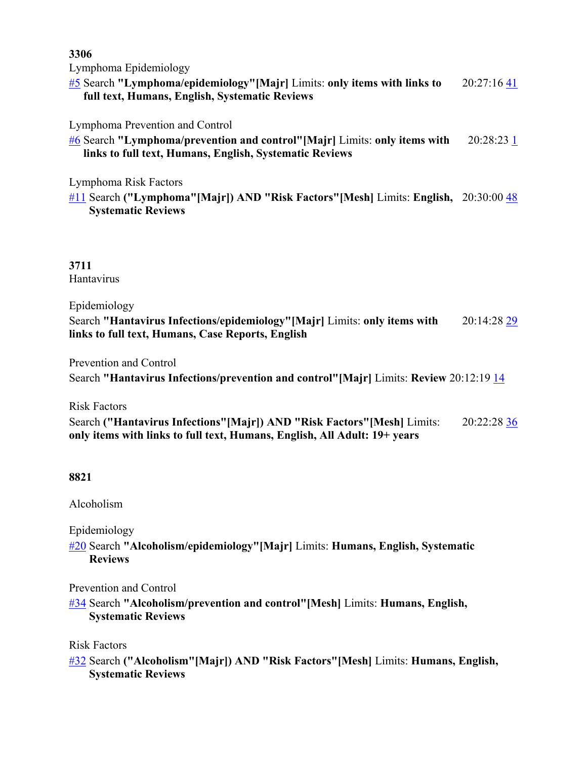**3306** Lymphoma Epidemiology [#5](http://www.ncbi.nlm.nih.gov/pubmed/advanced) Search **"Lymphoma/epidemiology"[Majr]** Limits: **only items with links to full text, Humans, English, Systematic Reviews**  $20:27:16$   $41$ Lymphoma Prevention and Control [#6](http://www.ncbi.nlm.nih.gov/pubmed/advanced) Search **"Lymphoma/prevention and control"[Majr]** Limits: **only items with links to full text, Humans, English, Systematic Reviews** 20:28:23 [1](http://www.ncbi.nlm.nih.gov/pubmed/?cmd=HistorySearch&querykey=6&) Lymphoma Risk Factors [#11](http://www.ncbi.nlm.nih.gov/pubmed/advanced) Search **("Lymphoma"[Majr]) AND "Risk Factors"[Mesh]** Limits: **English,**  20:30:00 [48](http://www.ncbi.nlm.nih.gov/pubmed/?cmd=HistorySearch&querykey=11&) **Systematic Reviews 3711** Hantavirus Epidemiology Search **"Hantavirus Infections/epidemiology"[Majr]** Limits: **only items with links to full text, Humans, Case Reports, English** 20:14:28 [29](http://www.ncbi.nlm.nih.gov/pubmed/?cmd=HistorySearch&querykey=39&) Prevention and Control Search **"Hantavirus Infections/prevention and control"[Majr]** Limits: **Review** 20:12:19 [14](http://www.ncbi.nlm.nih.gov/pubmed/?cmd=HistorySearch&querykey=37&)

Risk Factors Search **("Hantavirus Infections"[Majr]) AND "Risk Factors"[Mesh]** Limits: **only items with links to full text, Humans, English, All Adult: 19+ years** 20:22:28 [36](http://www.ncbi.nlm.nih.gov/pubmed/?cmd=HistorySearch&querykey=48&)

#### **8821**

Alcoholism

Epidemiology

[#20](http://www.ncbi.nlm.nih.gov/pubmed/advanced) Search **"Alcoholism/epidemiology"[Majr]** Limits: **Humans, English, Systematic Reviews**

Prevention and Control

[#34](http://www.ncbi.nlm.nih.gov/pubmed/advanced) Search **"Alcoholism/prevention and control"[Mesh]** Limits: **Humans, English, Systematic Reviews**

Risk Factors

[#32](http://www.ncbi.nlm.nih.gov/pubmed/advanced) Search **("Alcoholism"[Majr]) AND "Risk Factors"[Mesh]** Limits: **Humans, English, Systematic Reviews**